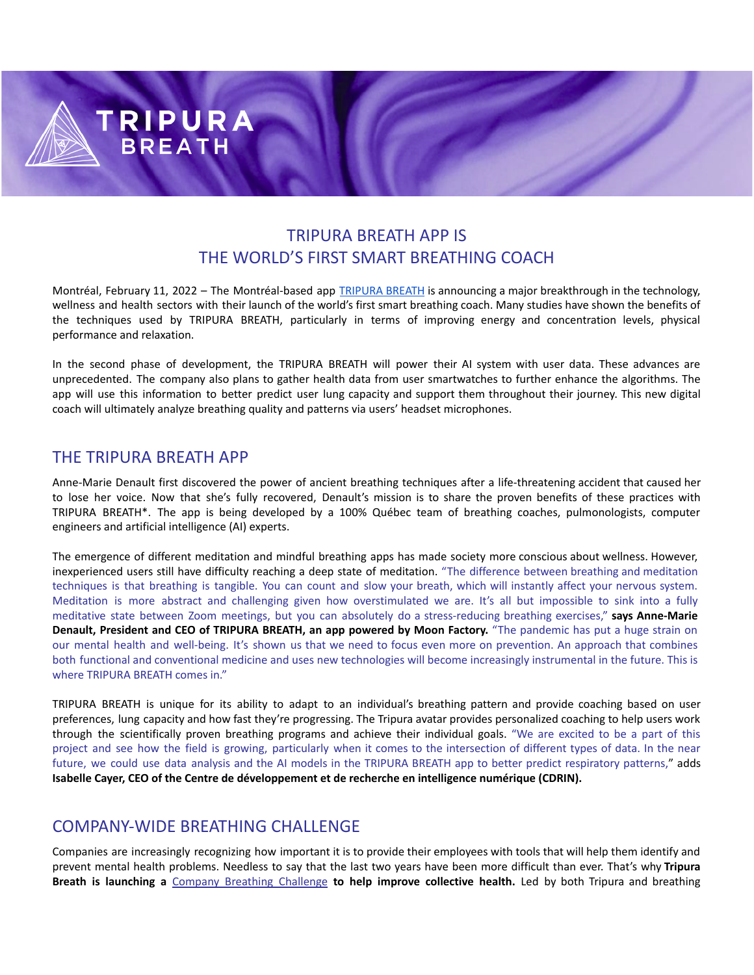## TRIPURA BREATH APP IS THE WORLD'S FIRST SMART BREATHING COACH

Montréal, February 11, 2022 – The Montréal-based app **[TRIPURA](https://tripurabreath.com/) BREATH** is announcing a major breakthrough in the technology, wellness and health sectors with their launch of the world's first smart breathing coach. Many studies have shown the benefits of the techniques used by TRIPURA BREATH, particularly in terms of improving energy and concentration levels, physical performance and relaxation.

In the second phase of development, the TRIPURA BREATH will power their AI system with user data. These advances are unprecedented. The company also plans to gather health data from user smartwatches to further enhance the algorithms. The app will use this information to better predict user lung capacity and support them throughout their journey. This new digital coach will ultimately analyze breathing quality and patterns via users' headset microphones.

## THE TRIPURA BREATH APP

**TRIPURA** 

**BREATH** 

Anne-Marie Denault first discovered the power of ancient breathing techniques after a life-threatening accident that caused her to lose her voice. Now that she's fully recovered, Denault's mission is to share the proven benefits of these practices with TRIPURA BREATH\*. The app is being developed by a 100% Québec team of breathing coaches, pulmonologists, computer engineers and artificial intelligence (AI) experts.

The emergence of different meditation and mindful breathing apps has made society more conscious about wellness. However, inexperienced users still have difficulty reaching a deep state of meditation. "The difference between breathing and meditation techniques is that breathing is tangible. You can count and slow your breath, which will instantly affect your nervous system. Meditation is more abstract and challenging given how overstimulated we are. It's all but impossible to sink into a fully meditative state between Zoom meetings, but you can absolutely do a stress-reducing breathing exercises," **says Anne-Marie Denault, President and CEO of TRIPURA BREATH, an app powered by Moon Factory.** "The pandemic has put a huge strain on our mental health and well-being. It's shown us that we need to focus even more on prevention. An approach that combines both functional and conventional medicine and uses new technologies will become increasingly instrumental in the future. This is where TRIPURA BREATH comes in."

TRIPURA BREATH is unique for its ability to adapt to an individual's breathing pattern and provide coaching based on user preferences, lung capacity and how fast they're progressing. The Tripura avatar provides personalized coaching to help users work through the scientifically proven breathing programs and achieve their individual goals. "We are excited to be a part of this project and see how the field is growing, particularly when it comes to the intersection of different types of data. In the near future, we could use data analysis and the AI models in the TRIPURA BREATH app to better predict respiratory patterns," adds **Isabelle Cayer, CEO of the Centre de développement et de recherche en intelligence numérique (CDRIN).**

## COMPANY-WIDE BREATHING CHALLENGE

Companies are increasingly recognizing how important it is to provide their employees with tools that will help them identify and prevent mental health problems. Needless to say that the last two years have been more difficult than ever. That's why **Tripura Breath is launching a** Company Breathing [Challenge](https://tripurabreath.com/breathing-challenge-company/) **to help improve collective health.** Led by both Tripura and breathing